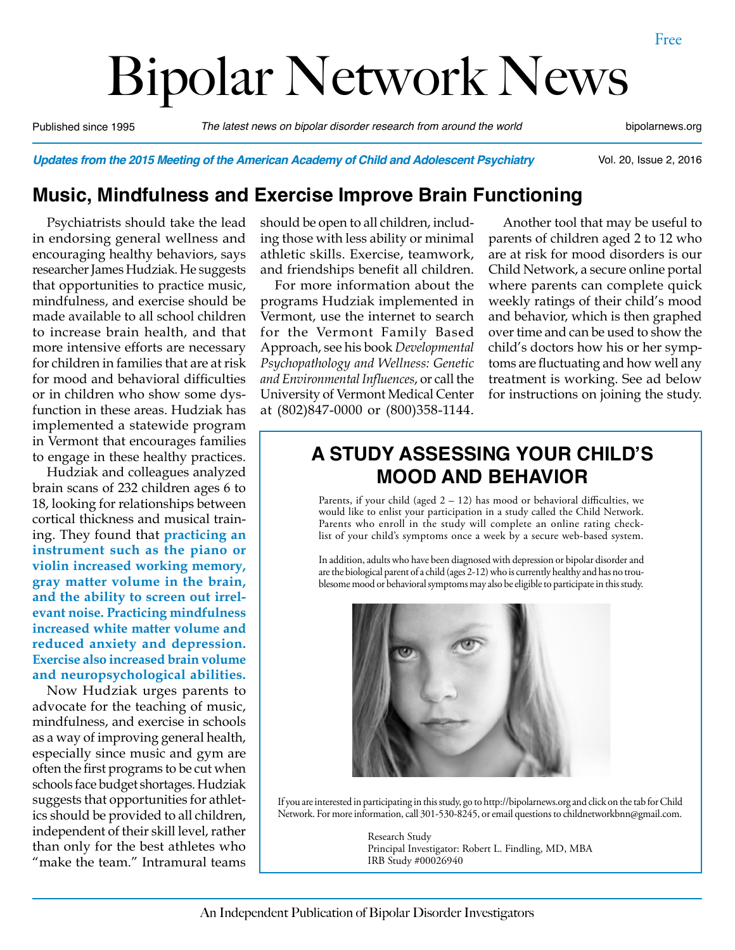# Bipolar Network News

Published since 1995 *The latest news on bipolar disorder research from around the world* bipolarnews.org

Vol. 20, Issue 2, 2016

*Updates from the 2015 Meeting of the American Academy of Child and Adolescent Psychiatry*

#### **Music, Mindfulness and Exercise Improve Brain Functioning**

Psychiatrists should take the lead in endorsing general wellness and encouraging healthy behaviors, says researcher James Hudziak. He suggests that opportunities to practice music, mindfulness, and exercise should be made available to all school children to increase brain health, and that more intensive efforts are necessary for children in families that are at risk for mood and behavioral difficulties or in children who show some dysfunction in these areas. Hudziak has implemented a statewide program in Vermont that encourages families to engage in these healthy practices.

Hudziak and colleagues analyzed brain scans of 232 children ages 6 to 18, looking for relationships between cortical thickness and musical training. They found that **practicing an instrument such as the piano or violin increased working memory, gray matter volume in the brain, and the ability to screen out irrelevant noise. Practicing mindfulness increased white matter volume and reduced anxiety and depression. Exercise also increased brain volume and neuropsychological abilities.**

Now Hudziak urges parents to advocate for the teaching of music, mindfulness, and exercise in schools as a way of improving general health, especially since music and gym are often the first programs to be cut when schools face budget shortages. Hudziak suggests that opportunities for athletics should be provided to all children, independent of their skill level, rather than only for the best athletes who "make the team." Intramural teams should be open to all children, including those with less ability or minimal athletic skills. Exercise, teamwork, and friendships benefit all children.

For more information about the programs Hudziak implemented in Vermont, use the internet to search for the Vermont Family Based Approach, see his book *Developmental Psychopathology and Wellness: Genetic and Environmental Influences*, or call the University of Vermont Medical Center at (802)847-0000 or (800)358-1144.

Another tool that may be useful to parents of children aged 2 to 12 who are at risk for mood disorders is our Child Network, a secure online portal where parents can complete quick weekly ratings of their child's mood and behavior, which is then graphed over time and can be used to show the child's doctors how his or her symptoms are fluctuating and how well any treatment is working. See ad below for instructions on joining the study.

# **A STUDY ASSESSING YOUR CHILD'S MOOD AND BEHAVIOR**

Parents, if your child (aged  $2 - 12$ ) has mood or behavioral difficulties, we would like to enlist your participation in a study called the Child Network. Parents who enroll in the study will complete an online rating checklist of your child's symptoms once a week by a secure web-based system.

In addition, adults who have been diagnosed with depression or bipolar disorder and are the biological parent of a child (ages 2-12) who is currently healthy and has no troublesome mood or behavioral symptoms may also be eligible to participate in this study.



If you are interested in participating in this study, go to http://bipolarnews.org and click on the tab for Child Network. For more information, call 301-530-8245, or email questions to childnetworkbnn@gmail.com.

> Research Study Principal Investigator: Robert L. Findling, MD, MBA IRB Study #00026940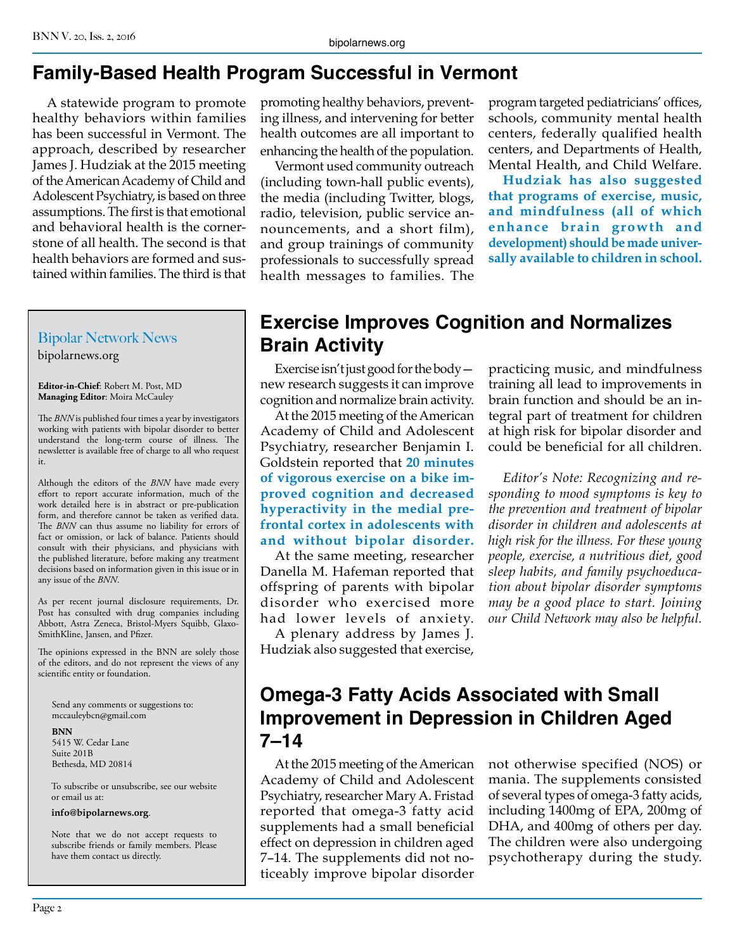# **Family-Based Health Program Successful in Vermont**

A statewide program to promote healthy behaviors within families has been successful in Vermont. The approach, described by researcher James J. Hudziak at the 2015 meeting of the American Academy of Child and Adolescent Psychiatry, is based on three assumptions. The first is that emotional and behavioral health is the cornerstone of all health. The second is that health behaviors are formed and sustained within families. The third is that

## Bipolar Network News

bipolarnews.org

**Editor-in-Chief**: Robert M. Post, MD **Managing Editor**: Moira McCauley

The *BNN* is published four times a year by investigators working with patients with bipolar disorder to better understand the long-term course of illness. The newsletter is available free of charge to all who request it.

Although the editors of the *BNN* have made every effort to report accurate information, much of the work detailed here is in abstract or pre-publication form, and therefore cannot be taken as verified data. The *BNN* can thus assume no liability for errors of fact or omission, or lack of balance. Patients should consult with their physicians, and physicians with the published literature, before making any treatment decisions based on information given in this issue or in any issue of the *BNN*.

As per recent journal disclosure requirements, Dr. Post has consulted with drug companies including Abbott, Astra Zeneca, Bristol-Myers Squibb, Glaxo-SmithKline, Jansen, and Pfizer.

The opinions expressed in the BNN are solely those of the editors, and do not represent the views of any scientific entity or foundation.

Send any comments or suggestions to: mccauleybcn@gmail.com

**BNN** 5415 W. Cedar Lane Suite 201B Bethesda, MD 20814

To subscribe or unsubscribe, see our website or email us at:

**info@bipolarnews.org**.

Note that we do not accept requests to subscribe friends or family members. Please have them contact us directly.

promoting healthy behaviors, preventing illness, and intervening for better health outcomes are all important to enhancing the health of the population.

Vermont used community outreach (including town-hall public events), the media (including Twitter, blogs, radio, television, public service announcements, and a short film), and group trainings of community professionals to successfully spread health messages to families. The

program targeted pediatricians' offices, schools, community mental health centers, federally qualified health centers, and Departments of Health, Mental Health, and Child Welfare.

**Hudziak has also suggested that programs of exercise, music, and mindfulness (all of which enhance brain growth and development) should be made universally available to children in school.**

# **Exercise Improves Cognition and Normalizes Brain Activity**

Exercise isn't just good for the body new research suggests it can improve cognition and normalize brain activity.

At the 2015 meeting of the American Academy of Child and Adolescent Psychiatry, researcher Benjamin I. Goldstein reported that **20 minutes of vigorous exercise on a bike improved cognition and decreased hyperactivity in the medial prefrontal cortex in adolescents with and without bipolar disorder.**

At the same meeting, researcher Danella M. Hafeman reported that offspring of parents with bipolar disorder who exercised more had lower levels of anxiety.

A plenary address by James J. Hudziak also suggested that exercise,

practicing music, and mindfulness training all lead to improvements in brain function and should be an integral part of treatment for children at high risk for bipolar disorder and could be beneficial for all children.

*Editor's Note: Recognizing and responding to mood symptoms is key to the prevention and treatment of bipolar disorder in children and adolescents at high risk for the illness. For these young people, exercise, a nutritious diet, good sleep habits, and family psychoeducation about bipolar disorder symptoms may be a good place to start. Joining our Child Network may also be helpful.*

# **Omega-3 Fatty Acids Associated with Small Improvement in Depression in Children Aged 7–14**

At the 2015 meeting of the American Academy of Child and Adolescent Psychiatry, researcher Mary A. Fristad reported that omega-3 fatty acid supplements had a small beneficial effect on depression in children aged 7–14. The supplements did not noticeably improve bipolar disorder not otherwise specified (NOS) or mania. The supplements consisted of several types of omega-3 fatty acids, including 1400mg of EPA, 200mg of DHA, and 400mg of others per day. The children were also undergoing psychotherapy during the study.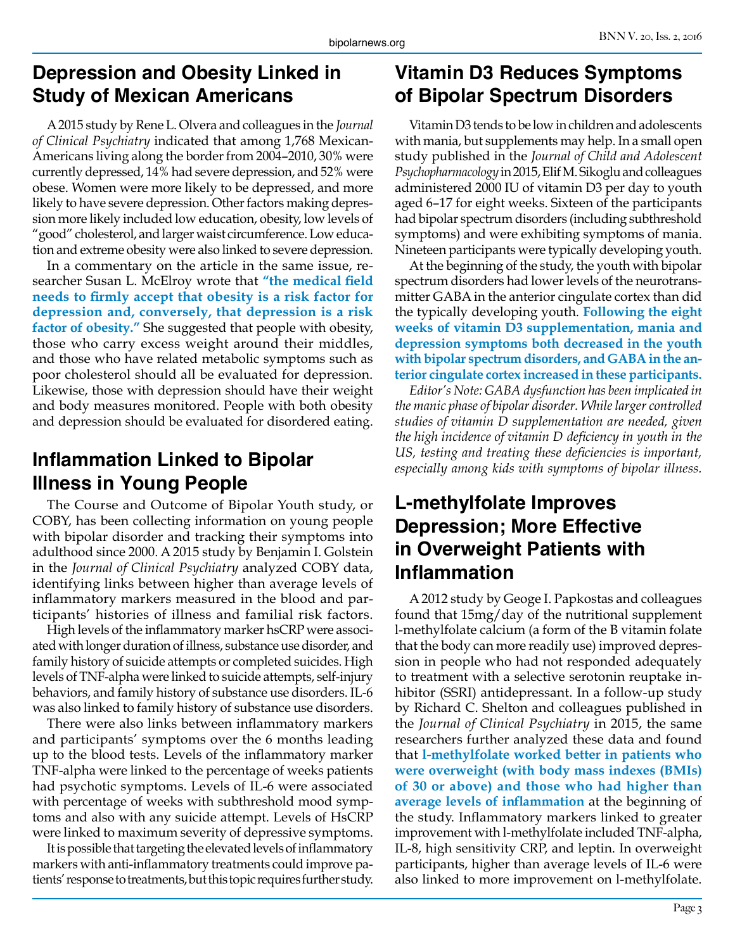## **Depression and Obesity Linked in Study of Mexican Americans**

A 2015 study by Rene L. Olvera and colleagues in the *Journal of Clinical Psychiatry* indicated that among 1,768 Mexican-Americans living along the border from 2004–2010, 30% were currently depressed, 14% had severe depression, and 52% were obese. Women were more likely to be depressed, and more likely to have severe depression. Other factors making depression more likely included low education, obesity, low levels of "good" cholesterol, and larger waist circumference. Low education and extreme obesity were also linked to severe depression.

In a commentary on the article in the same issue, researcher Susan L. McElroy wrote that **"the medical field needs to firmly accept that obesity is a risk factor for depression and, conversely, that depression is a risk factor of obesity."** She suggested that people with obesity, those who carry excess weight around their middles, and those who have related metabolic symptoms such as poor cholesterol should all be evaluated for depression. Likewise, those with depression should have their weight and body measures monitored. People with both obesity and depression should be evaluated for disordered eating.

# **Inflammation Linked to Bipolar Illness in Young People**

The Course and Outcome of Bipolar Youth study, or COBY, has been collecting information on young people with bipolar disorder and tracking their symptoms into adulthood since 2000. A 2015 study by Benjamin I. Golstein in the *Journal of Clinical Psychiatry* analyzed COBY data, identifying links between higher than average levels of inflammatory markers measured in the blood and participants' histories of illness and familial risk factors.

High levels of the inflammatory marker hsCRP were associated with longer duration of illness, substance use disorder, and family history of suicide attempts or completed suicides. High levels of TNF-alpha were linked to suicide attempts, self-injury behaviors, and family history of substance use disorders. IL-6 was also linked to family history of substance use disorders.

There were also links between inflammatory markers and participants' symptoms over the 6 months leading up to the blood tests. Levels of the inflammatory marker TNF-alpha were linked to the percentage of weeks patients had psychotic symptoms. Levels of IL-6 were associated with percentage of weeks with subthreshold mood symptoms and also with any suicide attempt. Levels of HsCRP were linked to maximum severity of depressive symptoms.

It is possible that targeting the elevated levels of inflammatory markers with anti-inflammatory treatments could improve patients' response to treatments, but this topic requires further study.

# **Vitamin D3 Reduces Symptoms of Bipolar Spectrum Disorders**

Vitamin D3 tends to be low in children and adolescents with mania, but supplements may help. In a small open study published in the *Journal of Child and Adolescent Psychopharmacology* in 2015, Elif M. Sikoglu and colleagues administered 2000 IU of vitamin D3 per day to youth aged 6–17 for eight weeks. Sixteen of the participants had bipolar spectrum disorders (including subthreshold symptoms) and were exhibiting symptoms of mania. Nineteen participants were typically developing youth.

At the beginning of the study, the youth with bipolar spectrum disorders had lower levels of the neurotransmitter GABA in the anterior cingulate cortex than did the typically developing youth. **Following the eight weeks of vitamin D3 supplementation, mania and depression symptoms both decreased in the youth with bipolar spectrum disorders, and GABA in the anterior cingulate cortex increased in these participants.**

*Editor's Note: GABA dysfunction has been implicated in the manic phase of bipolar disorder. While larger controlled studies of vitamin D supplementation are needed, given the high incidence of vitamin D deficiency in youth in the US, testing and treating these deficiencies is important, especially among kids with symptoms of bipolar illness.*

## **L-methylfolate Improves Depression; More Effective in Overweight Patients with Inflammation**

A 2012 study by Geoge I. Papkostas and colleagues found that 15mg/day of the nutritional supplement l-methylfolate calcium (a form of the B vitamin folate that the body can more readily use) improved depression in people who had not responded adequately to treatment with a selective serotonin reuptake inhibitor (SSRI) antidepressant. In a follow-up study by Richard C. Shelton and colleagues published in the *Journal of Clinical Psychiatry* in 2015, the same researchers further analyzed these data and found that **l-methylfolate worked better in patients who were overweight (with body mass indexes (BMIs) of 30 or above) and those who had higher than average levels of inflammation** at the beginning of the study. Inflammatory markers linked to greater improvement with l-methylfolate included TNF-alpha, IL-8, high sensitivity CRP, and leptin. In overweight participants, higher than average levels of IL-6 were also linked to more improvement on l-methylfolate.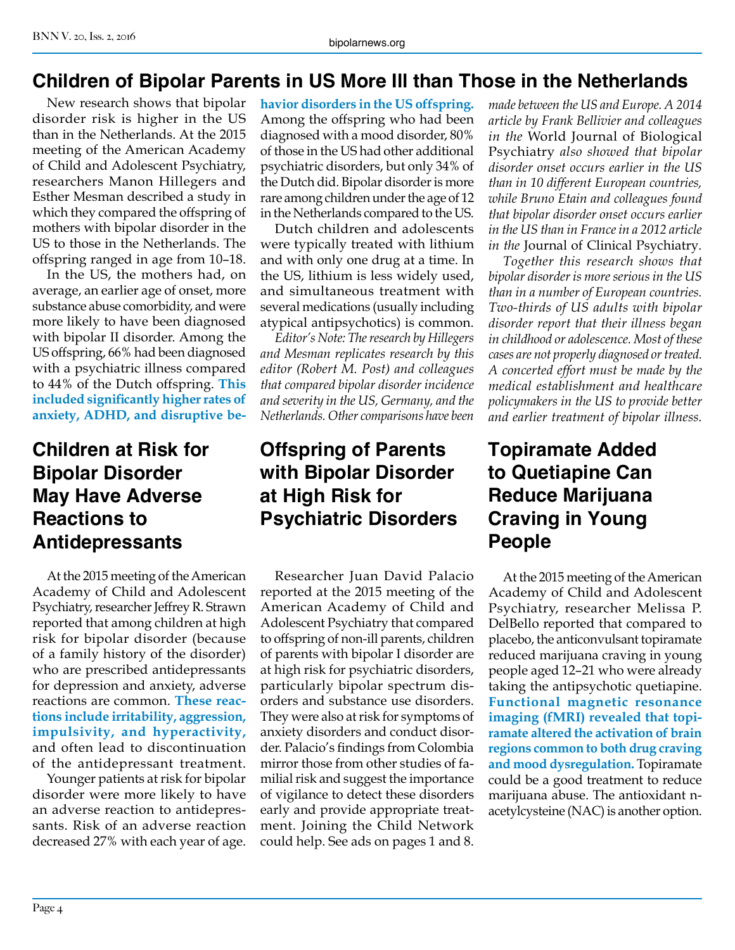#### **Children of Bipolar Parents in US More Ill than Those in the Netherlands**

New research shows that bipolar disorder risk is higher in the US than in the Netherlands. At the 2015 meeting of the American Academy of Child and Adolescent Psychiatry, researchers Manon Hillegers and Esther Mesman described a study in which they compared the offspring of mothers with bipolar disorder in the US to those in the Netherlands. The offspring ranged in age from 10–18.

In the US, the mothers had, on average, an earlier age of onset, more substance abuse comorbidity, and were more likely to have been diagnosed with bipolar II disorder. Among the US offspring, 66% had been diagnosed with a psychiatric illness compared to 44% of the Dutch offspring. **This included significantly higher rates of anxiety, ADHD, and disruptive be-**

# **Children at Risk for Bipolar Disorder May Have Adverse Reactions to Antidepressants**

At the 2015 meeting of the American Academy of Child and Adolescent Psychiatry, researcher Jeffrey R. Strawn reported that among children at high risk for bipolar disorder (because of a family history of the disorder) who are prescribed antidepressants for depression and anxiety, adverse reactions are common. **These reactions include irritability, aggression, impulsivity, and hyperactivity,**  and often lead to discontinuation of the antidepressant treatment.

Younger patients at risk for bipolar disorder were more likely to have an adverse reaction to antidepressants. Risk of an adverse reaction decreased 27% with each year of age.

**havior disorders in the US offspring.**  Among the offspring who had been diagnosed with a mood disorder, 80% of those in the US had other additional psychiatric disorders, but only 34% of the Dutch did. Bipolar disorder is more rare among children under the age of 12 in the Netherlands compared to the US.

Dutch children and adolescents were typically treated with lithium and with only one drug at a time. In the US, lithium is less widely used, and simultaneous treatment with several medications (usually including atypical antipsychotics) is common.

*Editor's Note: The research by Hillegers and Mesman replicates research by this editor (Robert M. Post) and colleagues that compared bipolar disorder incidence and severity in the US, Germany, and the Netherlands. Other comparisons have been* 

# **Offspring of Parents with Bipolar Disorder at High Risk for Psychiatric Disorders**

Researcher Juan David Palacio reported at the 2015 meeting of the American Academy of Child and Adolescent Psychiatry that compared to offspring of non-ill parents, children of parents with bipolar I disorder are at high risk for psychiatric disorders, particularly bipolar spectrum disorders and substance use disorders. They were also at risk for symptoms of anxiety disorders and conduct disorder. Palacio's findings from Colombia mirror those from other studies of familial risk and suggest the importance of vigilance to detect these disorders early and provide appropriate treatment. Joining the Child Network could help. See ads on pages 1 and 8.

*made between the US and Europe. A 2014 article by Frank Bellivier and colleagues in the* World Journal of Biological Psychiatry *also showed that bipolar disorder onset occurs earlier in the US than in 10 different European countries, while Bruno Etain and colleagues found that bipolar disorder onset occurs earlier in the US than in France in a 2012 article in the* Journal of Clinical Psychiatry*.*

*Together this research shows that bipolar disorder is more serious in the US than in a number of European countries. Two-thirds of US adults with bipolar disorder report that their illness began in childhood or adolescence. Most of these cases are not properly diagnosed or treated. A concerted effort must be made by the medical establishment and healthcare policymakers in the US to provide better and earlier treatment of bipolar illness.*

# **Topiramate Added to Quetiapine Can Reduce Marijuana Craving in Young People**

At the 2015 meeting of the American Academy of Child and Adolescent Psychiatry, researcher Melissa P. DelBello reported that compared to placebo, the anticonvulsant topiramate reduced marijuana craving in young people aged 12–21 who were already taking the antipsychotic quetiapine. **Functional magnetic resonance imaging (fMRI) revealed that topiramate altered the activation of brain regions common to both drug craving and mood dysregulation.** Topiramate could be a good treatment to reduce marijuana abuse. The antioxidant nacetylcysteine (NAC) is another option.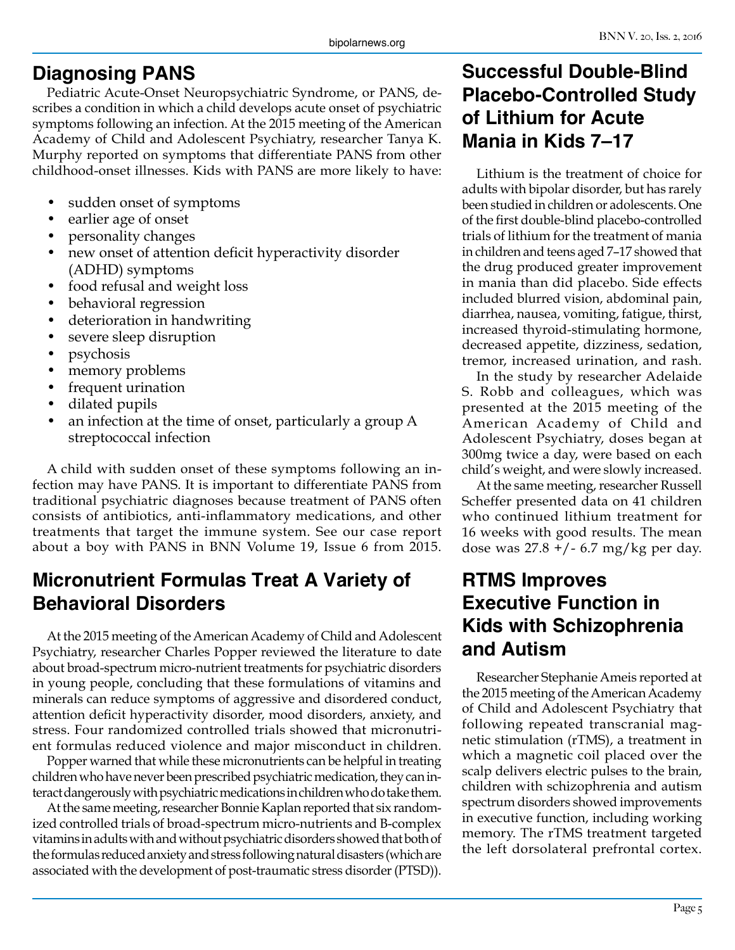#### **Diagnosing PANS**

Pediatric Acute-Onset Neuropsychiatric Syndrome, or PANS, describes a condition in which a child develops acute onset of psychiatric symptoms following an infection. At the 2015 meeting of the American Academy of Child and Adolescent Psychiatry, researcher Tanya K. Murphy reported on symptoms that differentiate PANS from other childhood-onset illnesses. Kids with PANS are more likely to have:

- sudden onset of symptoms
- earlier age of onset
- personality changes
- new onset of attention deficit hyperactivity disorder (ADHD) symptoms
- food refusal and weight loss
- behavioral regression
- deterioration in handwriting
- severe sleep disruption
- psychosis
- memory problems
- frequent urination
- dilated pupils
- an infection at the time of onset, particularly a group A streptococcal infection

A child with sudden onset of these symptoms following an infection may have PANS. It is important to differentiate PANS from traditional psychiatric diagnoses because treatment of PANS often consists of antibiotics, anti-inflammatory medications, and other treatments that target the immune system. See our case report about a boy with PANS in BNN Volume 19, Issue 6 from 2015.

# **Micronutrient Formulas Treat A Variety of Behavioral Disorders**

At the 2015 meeting of the American Academy of Child and Adolescent Psychiatry, researcher Charles Popper reviewed the literature to date about broad-spectrum micro-nutrient treatments for psychiatric disorders in young people, concluding that these formulations of vitamins and minerals can reduce symptoms of aggressive and disordered conduct, attention deficit hyperactivity disorder, mood disorders, anxiety, and stress. Four randomized controlled trials showed that micronutrient formulas reduced violence and major misconduct in children.

Popper warned that while these micronutrients can be helpful in treating children who have never been prescribed psychiatric medication, they can interact dangerously with psychiatric medications in children who do take them.

At the same meeting, researcher Bonnie Kaplan reported that six randomized controlled trials of broad-spectrum micro-nutrients and B-complex vitamins in adults with and without psychiatric disorders showed that both of the formulas reduced anxiety and stress following natural disasters (which are associated with the development of post-traumatic stress disorder (PTSD)).

# **Successful Double-Blind Placebo-Controlled Study of Lithium for Acute Mania in Kids 7–17**

Lithium is the treatment of choice for adults with bipolar disorder, but has rarely been studied in children or adolescents. One of the first double-blind placebo-controlled trials of lithium for the treatment of mania in children and teens aged 7–17 showed that the drug produced greater improvement in mania than did placebo. Side effects included blurred vision, abdominal pain, diarrhea, nausea, vomiting, fatigue, thirst, increased thyroid-stimulating hormone, decreased appetite, dizziness, sedation, tremor, increased urination, and rash.

In the study by researcher Adelaide S. Robb and colleagues, which was presented at the 2015 meeting of the American Academy of Child and Adolescent Psychiatry, doses began at 300mg twice a day, were based on each child's weight, and were slowly increased.

At the same meeting, researcher Russell Scheffer presented data on 41 children who continued lithium treatment for 16 weeks with good results. The mean dose was 27.8 +/- 6.7 mg/kg per day.

# **RTMS Improves Executive Function in Kids with Schizophrenia and Autism**

Researcher Stephanie Ameis reported at the 2015 meeting of the American Academy of Child and Adolescent Psychiatry that following repeated transcranial magnetic stimulation (rTMS), a treatment in which a magnetic coil placed over the scalp delivers electric pulses to the brain, children with schizophrenia and autism spectrum disorders showed improvements in executive function, including working memory. The rTMS treatment targeted the left dorsolateral prefrontal cortex.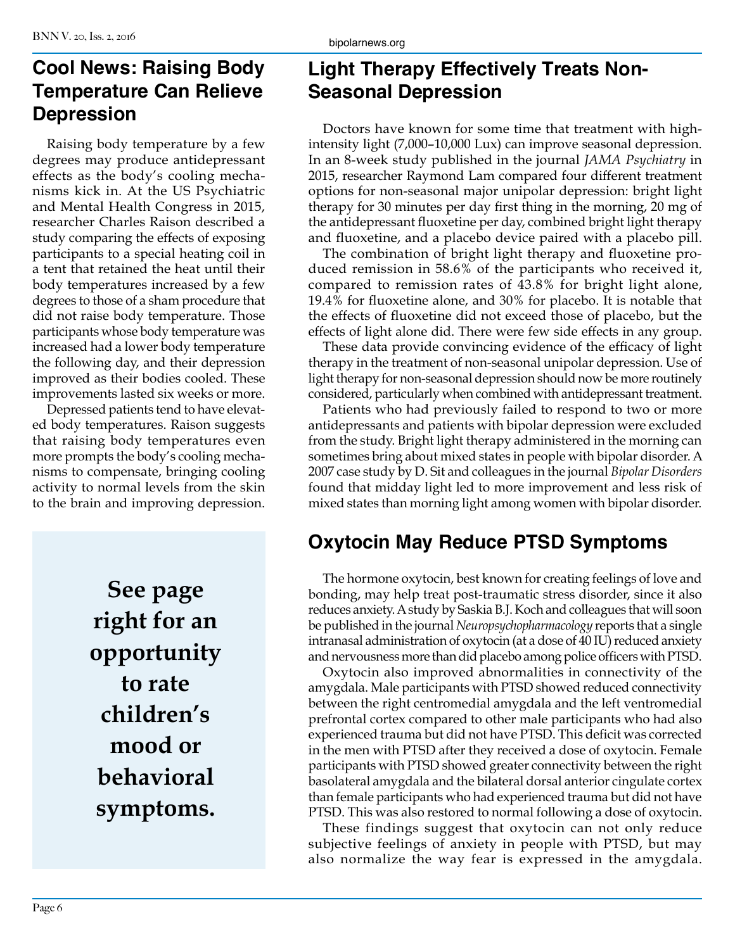# **Cool News: Raising Body Temperature Can Relieve Depression**

Raising body temperature by a few degrees may produce antidepressant effects as the body's cooling mechanisms kick in. At the US Psychiatric and Mental Health Congress in 2015, researcher Charles Raison described a study comparing the effects of exposing participants to a special heating coil in a tent that retained the heat until their body temperatures increased by a few degrees to those of a sham procedure that did not raise body temperature. Those participants whose body temperature was increased had a lower body temperature the following day, and their depression improved as their bodies cooled. These improvements lasted six weeks or more.

Depressed patients tend to have elevated body temperatures. Raison suggests that raising body temperatures even more prompts the body's cooling mechanisms to compensate, bringing cooling activity to normal levels from the skin to the brain and improving depression.

> **See page right for an opportunity to rate children's mood or behavioral symptoms.**

# **Light Therapy Effectively Treats Non-Seasonal Depression**

Doctors have known for some time that treatment with highintensity light (7,000–10,000 Lux) can improve seasonal depression. In an 8-week study published in the journal *JAMA Psychiatry* in 2015, researcher Raymond Lam compared four different treatment options for non-seasonal major unipolar depression: bright light therapy for 30 minutes per day first thing in the morning, 20 mg of the antidepressant fluoxetine per day, combined bright light therapy and fluoxetine, and a placebo device paired with a placebo pill.

The combination of bright light therapy and fluoxetine produced remission in 58.6% of the participants who received it, compared to remission rates of 43.8% for bright light alone, 19.4% for fluoxetine alone, and 30% for placebo. It is notable that the effects of fluoxetine did not exceed those of placebo, but the effects of light alone did. There were few side effects in any group.

These data provide convincing evidence of the efficacy of light therapy in the treatment of non-seasonal unipolar depression. Use of light therapy for non-seasonal depression should now be more routinely considered, particularly when combined with antidepressant treatment.

Patients who had previously failed to respond to two or more antidepressants and patients with bipolar depression were excluded from the study. Bright light therapy administered in the morning can sometimes bring about mixed states in people with bipolar disorder. A 2007 case study by D. Sit and colleagues in the journal *Bipolar Disorders*  found that midday light led to more improvement and less risk of mixed states than morning light among women with bipolar disorder.

# **Oxytocin May Reduce PTSD Symptoms**

The hormone oxytocin, best known for creating feelings of love and bonding, may help treat post-traumatic stress disorder, since it also reduces anxiety. A study by Saskia B.J. Koch and colleagues that will soon be published in the journal *Neuropsychopharmacology* reports that a single intranasal administration of oxytocin (at a dose of 40 IU) reduced anxiety and nervousness more than did placebo among police officers with PTSD.

Oxytocin also improved abnormalities in connectivity of the amygdala. Male participants with PTSD showed reduced connectivity between the right centromedial amygdala and the left ventromedial prefrontal cortex compared to other male participants who had also experienced trauma but did not have PTSD. This deficit was corrected in the men with PTSD after they received a dose of oxytocin. Female participants with PTSD showed greater connectivity between the right basolateral amygdala and the bilateral dorsal anterior cingulate cortex than female participants who had experienced trauma but did not have PTSD. This was also restored to normal following a dose of oxytocin.

These findings suggest that oxytocin can not only reduce subjective feelings of anxiety in people with PTSD, but may also normalize the way fear is expressed in the amygdala.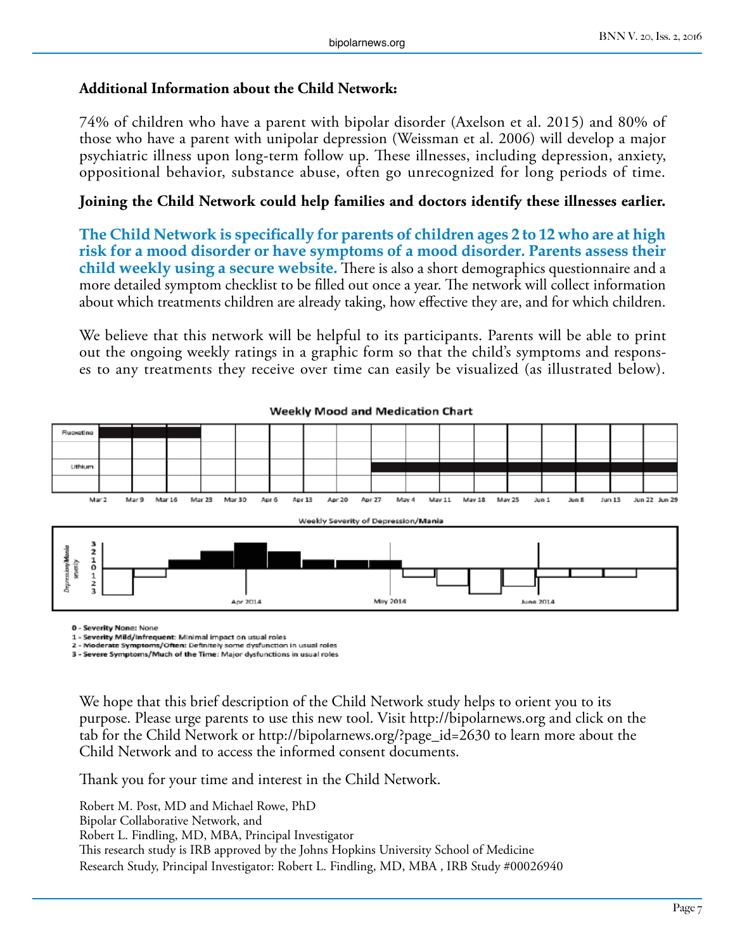#### **Additional Information about the Child Network:**

74% of children who have a parent with bipolar disorder (Axelson et al. 2015) and 80% of those who have a parent with unipolar depression (Weissman et al. 2006) will develop a major psychiatric illness upon long-term follow up. These illnesses, including depression, anxiety, oppositional behavior, substance abuse, often go unrecognized for long periods of time.

#### **Joining the Child Network could help families and doctors identify these illnesses earlier.**

**The Child Network is specifically for parents of children ages 2 to 12 who are at high risk for a mood disorder or have symptoms of a mood disorder. Parents assess their child weekly using a secure website.** There is also a short demographics questionnaire and a more detailed symptom checklist to be filled out once a year. The network will collect information about which treatments children are already taking, how effective they are, and for which children.

We believe that this network will be helpful to its participants. Parents will be able to print out the ongoing weekly ratings in a graphic form so that the child's symptoms and responses to any treatments they receive over time can easily be visualized (as illustrated below).



#### **Weekly Mood and Medication Chart**

0 - Severity None: None

1 - Severity Mild/Infrequent: Minimal impact on usual roles

te Symptoms/Often: Definitely some dysfunction in usual roles 3 - Severe Symptoms/Much of the Time: Major dysfunctions in usual roles

We hope that this brief description of the Child Network study helps to orient you to its purpose. Please urge parents to use this new tool. Visit http://bipolarnews.org and click on the tab for the Child Network or http://bipolarnews.org/?page\_id=2630 to learn more about the Child Network and to access the informed consent documents.

Thank you for your time and interest in the Child Network.

Robert M. Post, MD and Michael Rowe, PhD Bipolar Collaborative Network, and Robert L. Findling, MD, MBA, Principal Investigator This research study is IRB approved by the Johns Hopkins University School of Medicine Research Study, Principal Investigator: Robert L. Findling, MD, MBA , IRB Study #00026940